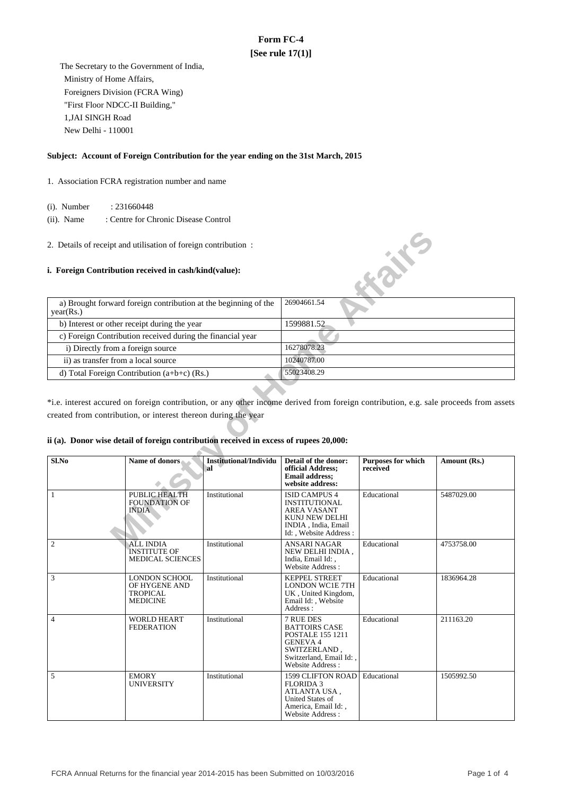# **Form FC-4 [See rule 17(1)]**

 The Secretary to the Government of India, Ministry of Home Affairs, Foreigners Division (FCRA Wing) "First Floor NDCC-II Building," 1,JAI SINGH Road New Delhi - 110001

#### **Subject: Account of Foreign Contribution for the year ending on the 31st March, 2015**

- 1. Association FCRA registration number and name
	- (i). Number : 231660448
	- (ii). Name : Centre for Chronic Disease Control
- 2. Details of receipt and utilisation of foreign contribution :

#### **i. Foreign Contribution received in cash/kind(value):**

| a) Brought forward foreign contribution at the beginning of the<br>year(Rs.) | 26904661.54 |
|------------------------------------------------------------------------------|-------------|
| b) Interest or other receipt during the year                                 | 1599881.52  |
| c) Foreign Contribution received during the financial year                   |             |
| i) Directly from a foreign source                                            | 16278078.23 |
| ii) as transfer from a local source                                          | 10240787.00 |
| d) Total Foreign Contribution $(a+b+c)$ (Rs.)                                | 55023408.29 |

# **ii (a). Donor wise detail of foreign contribution received in excess of rupees 20,000:**

|                                     | 2. Details of receipt and utilisation of foreign contribution:                                                                                           |                                     |                                                                                                                                                      |                                       |                                                                                                                                       |
|-------------------------------------|----------------------------------------------------------------------------------------------------------------------------------------------------------|-------------------------------------|------------------------------------------------------------------------------------------------------------------------------------------------------|---------------------------------------|---------------------------------------------------------------------------------------------------------------------------------------|
|                                     | i. Foreign Contribution received in cash/kind(value):                                                                                                    |                                     |                                                                                                                                                      | <b>KONS</b>                           |                                                                                                                                       |
| year(Rs.)                           | a) Brought forward foreign contribution at the beginning of the                                                                                          |                                     | 26904661.54                                                                                                                                          |                                       |                                                                                                                                       |
|                                     | b) Interest or other receipt during the year                                                                                                             |                                     | 1599881.52                                                                                                                                           |                                       |                                                                                                                                       |
|                                     | c) Foreign Contribution received during the financial year                                                                                               |                                     |                                                                                                                                                      |                                       |                                                                                                                                       |
| i) Directly from a foreign source   |                                                                                                                                                          |                                     | 16278078.23                                                                                                                                          |                                       |                                                                                                                                       |
| ii) as transfer from a local source |                                                                                                                                                          |                                     | 10240787.00                                                                                                                                          |                                       |                                                                                                                                       |
|                                     | d) Total Foreign Contribution (a+b+c) (Rs.)                                                                                                              |                                     | 55023408.29                                                                                                                                          |                                       |                                                                                                                                       |
|                                     | created from contribution, or interest thereon during the year<br>ii (a). Donor wise detail of foreign contribution received in excess of rupees 20,000: |                                     |                                                                                                                                                      |                                       | *i.e. interest accured on foreign contribution, or any other income derived from foreign contribution, e.g. sale proceeds from assets |
| Sl.No                               | Name of donors                                                                                                                                           | <b>Institutional/Individu</b><br>al | Detail of the donor:<br>official Address;<br><b>Email address:</b><br>website address:                                                               | <b>Purposes for which</b><br>received | Amount (Rs.)                                                                                                                          |
| $\mathbf{1}$                        | PUBLIC HEALTH<br><b>FOUNDATION OF</b><br>INDIA                                                                                                           | Institutional                       | ISID CAMPUS 4<br><b>INSTITUTIONAL</b><br><b>AREA VASANT</b><br>KUNJ NEW DELHI<br>INDIA, India, Email<br>Id:, Website Address:                        | Educational                           | 5487029.00                                                                                                                            |
| $\boldsymbol{2}$                    | <b>ALL INDIA</b><br><b>INSTITUTE OF</b><br><b>MEDICAL SCIENCES</b>                                                                                       | Institutional                       | <b>ANSARI NAGAR</b><br>NEW DELHI INDIA,<br>India, Email Id:,<br>Website Address:                                                                     | Educational                           | 4753758.00                                                                                                                            |
| 3                                   | <b>LONDON SCHOOL</b><br>OF HYGENE AND<br><b>TROPICAL</b><br><b>MEDICINE</b>                                                                              | Institutional                       | <b>KEPPEL STREET</b><br><b>LONDON WC1E 7TH</b><br>UK, United Kingdom,<br>Email Id: , Website<br>Address:                                             | Educational                           | 1836964.28                                                                                                                            |
| $\overline{4}$                      | <b>WORLD HEART</b><br><b>FEDERATION</b>                                                                                                                  | Institutional                       | 7 RUE DES<br><b>BATTOIRS CASE</b><br><b>POSTALE 155 1211</b><br><b>GENEVA 4</b><br>SWITZERLAND.<br>Switzerland, Email Id:<br><b>Website Address:</b> | Educational                           | 211163.20                                                                                                                             |
| 5                                   | <b>EMORY</b><br><b>UNIVERSITY</b>                                                                                                                        | Institutional                       | <b>1599 CLIFTON ROAD</b><br><b>FLORIDA 3</b><br>ATLANTA USA.<br>United States of<br>America, Email Id:,<br>Website Address:                          | Educational                           | 1505992.50                                                                                                                            |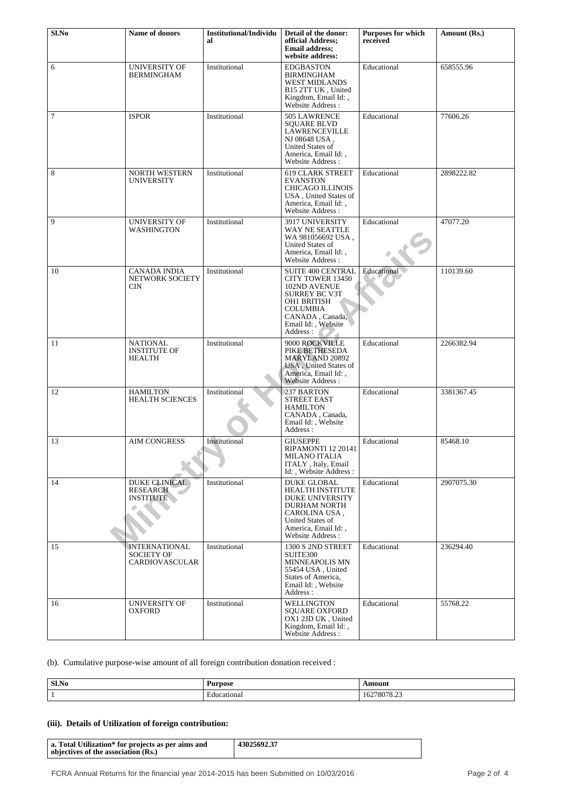| Sl.No  | Name of donors                                                     | <b>Institutional/Individu</b><br>al | Detail of the donor:<br>official Address:<br><b>Email address:</b><br>website address:                                                                                         | <b>Purposes for which</b><br>received | Amount (Rs.) |
|--------|--------------------------------------------------------------------|-------------------------------------|--------------------------------------------------------------------------------------------------------------------------------------------------------------------------------|---------------------------------------|--------------|
| 6      | <b>UNIVERSITY OF</b><br><b>BERMINGHAM</b>                          | Institutional                       | <b>EDGBASTON</b><br><b>BIRMINGHAM</b><br><b>WEST MIDLANDS</b><br>B15 2TT UK, United<br>Kingdom, Email Id:,<br>Website Address:                                                 | Educational                           | 658555.96    |
| $\tau$ | <b>ISPOR</b>                                                       | Institutional                       | 505 LAWRENCE<br><b>SQUARE BLVD</b><br>LAWRENCEVILLE<br>NJ 08648 USA.<br>United States of<br>America, Email Id:,<br>Website Address:                                            | Educational                           | 77606.26     |
| 8      | <b>NORTH WESTERN</b><br><b>UNIVERSITY</b>                          | Institutional                       | <b>619 CLARK STREET</b><br><b>EVANSTON</b><br><b>CHICAGO ILLINOIS</b><br>USA, United States of<br>America, Email Id:,<br>Website Address:                                      | Educational                           | 2898222.82   |
| 9      | <b>UNIVERSITY OF</b><br>WASHINGTON                                 | Institutional                       | 3917 UNIVERSITY<br>WAY NE SEATTLE<br>WA 981056692 USA,<br>United States of<br>America, Email Id:,<br>Website Address:                                                          | Educational                           | 47077.20     |
| 10     | CANADA INDIA<br><b>NETWORK SOCIETY</b><br>CIN                      | Institutional                       | SUITE 400 CENTRAL<br><b>CITY TOWER 13450</b><br>102ND AVENUE<br><b>SURREY BC V3T</b><br>OH1 BRITISH<br><b>COLUMBIA</b><br>CANADA, Canada,<br>Email Id:, Website<br>Address:    | Educational                           | 110139.60    |
| 11     | NATIONAL<br><b>INSTITUTE OF</b><br>HEALTH                          | Institutional                       | 9000 ROCKVILLE<br>PIKE BETHESEDA<br><b>MARYLAND 20892</b><br>USA, United States of<br>America, Email Id:,<br>Website Address:                                                  | Educational                           | 2266382.94   |
| 12     | <b>HAMILTON</b><br><b>HEALTH SCIENCES</b>                          | Institutional                       | 237 BARTON<br><b>STREET EAST</b><br><b>HAMILTON</b><br>CANADA, Canada,<br>Email Id: , Website<br>Address:                                                                      | Educational                           | 3381367.45   |
| 13     | <b>AIM CONGRESS</b>                                                | Institutional                       | <b>GIUSEPPE</b><br>RIPAMONTI 12 20141<br>MILANO ITALIA<br>ITALY, Italy, Email<br>Id:, Website Address:                                                                         | Educational                           | 85468.10     |
| 14     | <b>DUKE CLINICAL</b><br><b>RESEARCH</b><br><b>INSTITUTE</b>        | Institutional                       | <b>DUKE GLOBAL</b><br><b>HEALTH INSTITUTE</b><br><b>DUKE UNIVERSITY</b><br><b>DURHAM NORTH</b><br>CAROLINA USA,<br>United States of<br>America, Email Id:,<br>Website Address: | Educational                           | 2907075.30   |
| 15     | <b>INTERNATIONAL</b><br><b>SOCIETY OF</b><br><b>CARDIOVASCULAR</b> | Institutional                       | 1300 S 2ND STREET<br>SUITE300<br><b>MINNEAPOLIS MN</b><br>55454 USA, United<br>States of America,<br>Email Id:, Website<br>Address:                                            | Educational                           | 236294.40    |
| 16     | UNIVERSITY OF<br><b>OXFORD</b>                                     | Institutional                       | WELLINGTON<br><b>SQUARE OXFORD</b><br>OX1 2JD UK, United<br>Kingdom, Email Id:,<br>Website Address:                                                                            | Educational                           | 55768.22     |

# (b). Cumulative purpose-wise amount of all foreign contribution donation received :

| Sl.No | Purpose          | \mount<br>$\frac{1}{2} \left( \frac{1}{2} \right) \left( \frac{1}{2} \right) \left( \frac{1}{2} \right) \left( \frac{1}{2} \right) \left( \frac{1}{2} \right) \left( \frac{1}{2} \right) \left( \frac{1}{2} \right) \left( \frac{1}{2} \right) \left( \frac{1}{2} \right) \left( \frac{1}{2} \right) \left( \frac{1}{2} \right) \left( \frac{1}{2} \right) \left( \frac{1}{2} \right) \left( \frac{1}{2} \right) \left( \frac{1}{2} \right) \left( \frac{1}{2} \right) \left( \frac$ |
|-------|------------------|--------------------------------------------------------------------------------------------------------------------------------------------------------------------------------------------------------------------------------------------------------------------------------------------------------------------------------------------------------------------------------------------------------------------------------------------------------------------------------------|
|       | :ducational<br>. | $\sim$<br>70070<br>78078.23<br>104                                                                                                                                                                                                                                                                                                                                                                                                                                                   |

# **(iii). Details of Utilization of foreign contribution:**

| a. Total Utilization* for projects as per aims and<br>objectives of the association (Rs.) | 43025692.37 |
|-------------------------------------------------------------------------------------------|-------------|
|-------------------------------------------------------------------------------------------|-------------|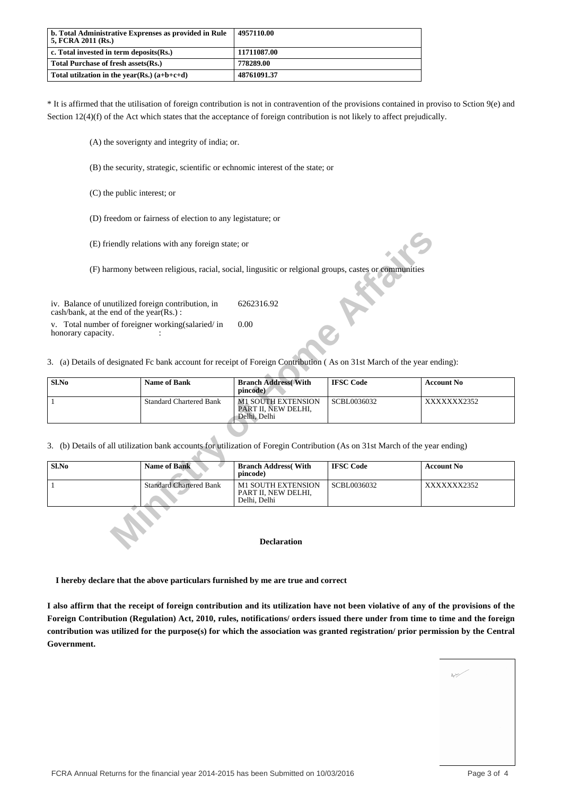| b. Total Administrative Exprenses as provided in Rule<br>  5. FCRA 2011 (Rs.) | 4957110.00  |
|-------------------------------------------------------------------------------|-------------|
| $\vert$ c. Total invested in term deposits $(Rs.)$                            | 11711087.00 |
| Total Purchase of fresh assets (Rs.)                                          | 778289.00   |
| Total utilization in the year(Rs.) $(a+b+c+d)$                                | 48761091.37 |

\* It is affirmed that the utilisation of foreign contribution is not in contravention of the provisions contained in proviso to Sction 9(e) and Section 12(4)(f) of the Act which states that the acceptance of foreign contribution is not likely to affect prejudically.

(A) the soverignty and integrity of india; or.

(B) the security, strategic, scientific or echnomic interest of the state; or

(C) the public interest; or

(D) freedom or fairness of election to any legistature; or

| Sl.No | Name of Bank                   | <b>Branch Address</b> With<br>pincode)                           | <b>IFSC Code</b> | <b>Account No</b> |
|-------|--------------------------------|------------------------------------------------------------------|------------------|-------------------|
|       | <b>Standard Chartered Bank</b> | <b>M1 SOUTH EXTENSION</b><br>PART II. NEW DELHI.<br>Delhi, Delhi | SCBL0036032      | XXXXXXX2352       |

|                                                                                                   | (E) friendly relations with any foreign state; or                                                                             |                                                                  |                  |                   |
|---------------------------------------------------------------------------------------------------|-------------------------------------------------------------------------------------------------------------------------------|------------------------------------------------------------------|------------------|-------------------|
|                                                                                                   | (F) harmony between religious, racial, social, lingusitic or religional groups, castes or communities                         |                                                                  |                  |                   |
| iv. Balance of unutilized foreign contribution, in<br>$\cosh/b$ ank, at the end of the year(Rs.): |                                                                                                                               | 6262316.92                                                       |                  |                   |
| v. Total number of foreigner working (salaried/in<br>honorary capacity.                           |                                                                                                                               | 0.00                                                             |                  |                   |
|                                                                                                   | 3. (a) Details of designated Fc bank account for receipt of Foreign Contribution (As on 31st March of the year ending):       |                                                                  |                  |                   |
| Sl.No                                                                                             | <b>Name of Bank</b>                                                                                                           | <b>Branch Address</b> With<br>pincode)                           | <b>IFSC Code</b> | <b>Account No</b> |
|                                                                                                   | <b>Standard Chartered Bank</b>                                                                                                | <b>M1 SOUTH EXTENSION</b><br>PART II, NEW DELHI,<br>Delhi, Delhi | SCBL0036032      | XXXXXXX2352       |
|                                                                                                   | 3. (b) Details of all utilization bank accounts for utilization of Foregin Contribution (As on 31st March of the year ending) |                                                                  |                  |                   |
| Sl.No                                                                                             | <b>Name of Bank</b>                                                                                                           | <b>Branch Address</b> (With<br>pincode)                          | <b>IFSC Code</b> | <b>Account No</b> |
| 1                                                                                                 | <b>Standard Chartered Bank</b>                                                                                                | <b>M1 SOUTH EXTENSION</b><br>PART II, NEW DELHI,<br>Delhi, Delhi | SCBL0036032      | XXXXXXX2352       |
|                                                                                                   |                                                                                                                               |                                                                  |                  |                   |
|                                                                                                   |                                                                                                                               | <b>Declaration</b>                                               |                  |                   |

#### **Declaration**

 **I hereby declare that the above particulars furnished by me are true and correct**

**I also affirm that the receipt of foreign contribution and its utilization have not been violative of any of the provisions of the Foreign Contribution (Regulation) Act, 2010, rules, notifications/ orders issued there under from time to time and the foreign contribution was utilized for the purpose(s) for which the association was granted registration/ prior permission by the Central Government.**

| Arim            | <b>Contractor</b> |                  | í,<br>à |
|-----------------|-------------------|------------------|---------|
| <b>Contract</b> |                   |                  | ۷       |
|                 |                   |                  |         |
|                 |                   | ×                |         |
|                 |                   | $\sim$ 100 $\mu$ |         |